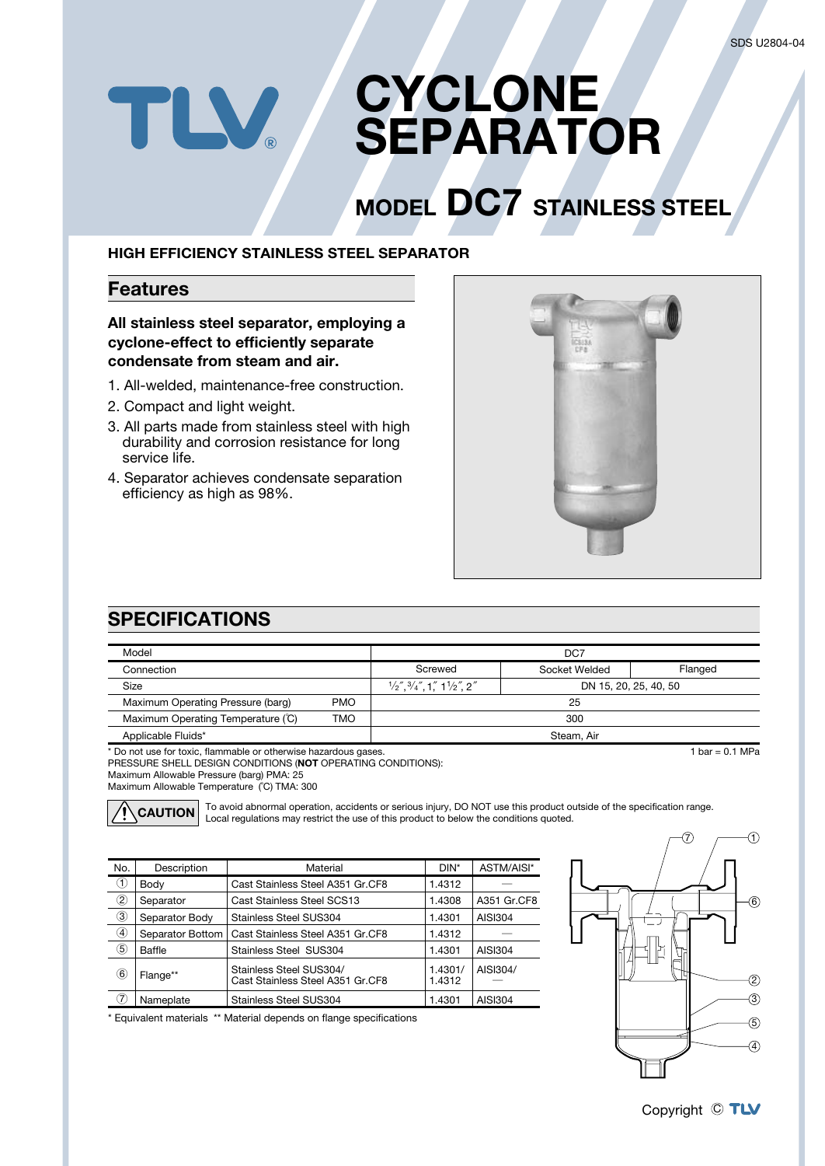### **CYCLONE** TLV. **SEPARATOR**

# **MODEL DC7 STAINLESS STEEL**

#### **HIGH EFFICIENCY STAINLESS STEEL SEPARATOR**

#### **Features**

#### **All stainless steel separator, employing a cyclone-effect to efficiently separate condensate from steam and air.**

- 1. All-welded, maintenance-free construction.
- 2. Compact and light weight.
- 3. All parts made from stainless steel with high durability and corrosion resistance for long service life.
- 4. Separator achieves condensate separation efficiency as high as 98%.



### **SPECIFICATIONS**

| Model                                                           |            | DC7                                                                                                                           |                 |                       |  |  |  |
|-----------------------------------------------------------------|------------|-------------------------------------------------------------------------------------------------------------------------------|-----------------|-----------------------|--|--|--|
| Connection                                                      |            | Screwed                                                                                                                       | Socket Welded   | Flanged               |  |  |  |
| Size                                                            |            | $\frac{1}{2}$ , $\frac{3}{4}$ , $\frac{7}{4}$ , $\frac{7}{4}$ , $\frac{1}{4}$ , $\frac{1}{2}$ , $\frac{1}{2}$ , $\frac{2}{4}$ |                 | DN 15, 20, 25, 40, 50 |  |  |  |
| Maximum Operating Pressure (barg)                               | <b>PMO</b> | 25                                                                                                                            |                 |                       |  |  |  |
| Maximum Operating Temperature (C)                               | <b>TMO</b> | 300                                                                                                                           |                 |                       |  |  |  |
| Applicable Fluids*                                              |            | Steam, Air                                                                                                                    |                 |                       |  |  |  |
| * Do not use for toxic, flammable or otherwise hazardous gases. |            |                                                                                                                               | 1 bar = 0.1 MPa |                       |  |  |  |

\* Do not use for toxic, flammable or otherwise hazardous gases.

PRESSURE SHELL DESIGN CONDITIONS (**NOT** OPERATING CONDITIONS): Maximum Allowable Pressure (barg) PMA: 25

Maximum Allowable Temperature (˚C) TMA: 300



To avoid abnormal operation, accidents or serious injury, DO NOT use this product outside of the specification range. **CAUTION** Local regulations may restrict the use of this product to below the conditions quoted.

| No.            | Description      | Material                                                    | DIN*              | ASTM/AISI*     |
|----------------|------------------|-------------------------------------------------------------|-------------------|----------------|
| $^{\circledR}$ | Body             | Cast Stainless Steel A351 Gr.CF8                            | 1.4312            |                |
| ②              | Separator        | Cast Stainless Steel SCS13                                  | 1.4308            | A351 Gr.CF8    |
| $\circled{3}$  | Separator Body   | Stainless Steel SUS304                                      | 1.4301            | <b>AISI304</b> |
| ④              | Separator Bottom | Cast Stainless Steel A351 Gr.CF8                            | 1.4312            |                |
| (5)            | Baffle           | Stainless Steel SUS304                                      | 1.4301            | <b>AISI304</b> |
| $^{(6)}$       | Flange**         | Stainless Steel SUS304/<br>Cast Stainless Steel A351 Gr.CF8 | 1.4301/<br>1.4312 | AISI304/       |
| (7)            | Nameplate        | Stainless Steel SUS304                                      | 1.4301            | <b>AISI304</b> |





Copyright © TLV